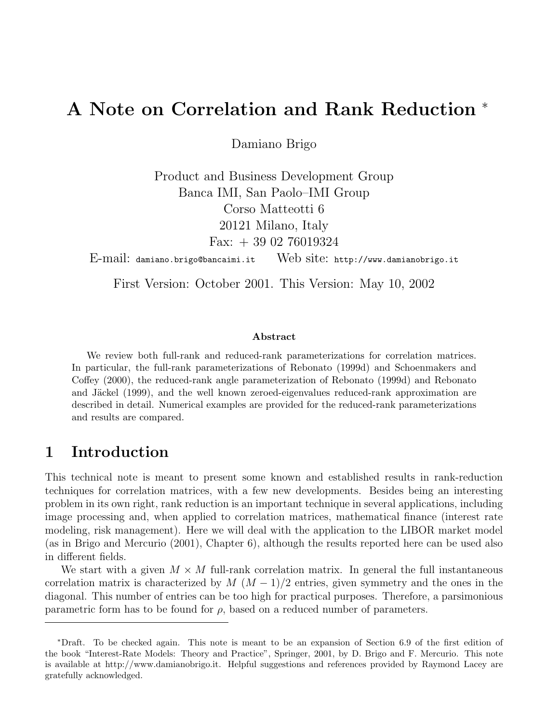# A Note on Correlation and Rank Reduction <sup>∗</sup>

Damiano Brigo

Product and Business Development Group Banca IMI, San Paolo–IMI Group Corso Matteotti 6 20121 Milano, Italy Fax:  $+390276019324$ 

E-mail: damiano.brigo@bancaimi.it Web site: http://www.damianobrigo.it

First Version: October 2001. This Version: May 10, 2002

#### Abstract

We review both full-rank and reduced-rank parameterizations for correlation matrices. In particular, the full-rank parameterizations of Rebonato (1999d) and Schoenmakers and Coffey (2000), the reduced-rank angle parameterization of Rebonato (1999d) and Rebonato and Jäckel (1999), and the well known zeroed-eigenvalues reduced-rank approximation are described in detail. Numerical examples are provided for the reduced-rank parameterizations and results are compared.

## 1 Introduction

This technical note is meant to present some known and established results in rank-reduction techniques for correlation matrices, with a few new developments. Besides being an interesting problem in its own right, rank reduction is an important technique in several applications, including image processing and, when applied to correlation matrices, mathematical finance (interest rate modeling, risk management). Here we will deal with the application to the LIBOR market model (as in Brigo and Mercurio (2001), Chapter 6), although the results reported here can be used also in different fields.

We start with a given  $M \times M$  full-rank correlation matrix. In general the full instantaneous correlation matrix is characterized by  $M (M-1)/2$  entries, given symmetry and the ones in the diagonal. This number of entries can be too high for practical purposes. Therefore, a parsimonious parametric form has to be found for  $\rho$ , based on a reduced number of parameters.

<sup>∗</sup>Draft. To be checked again. This note is meant to be an expansion of Section 6.9 of the first edition of the book "Interest-Rate Models: Theory and Practice", Springer, 2001, by D. Brigo and F. Mercurio. This note is available at http://www.damianobrigo.it. Helpful suggestions and references provided by Raymond Lacey are gratefully acknowledged.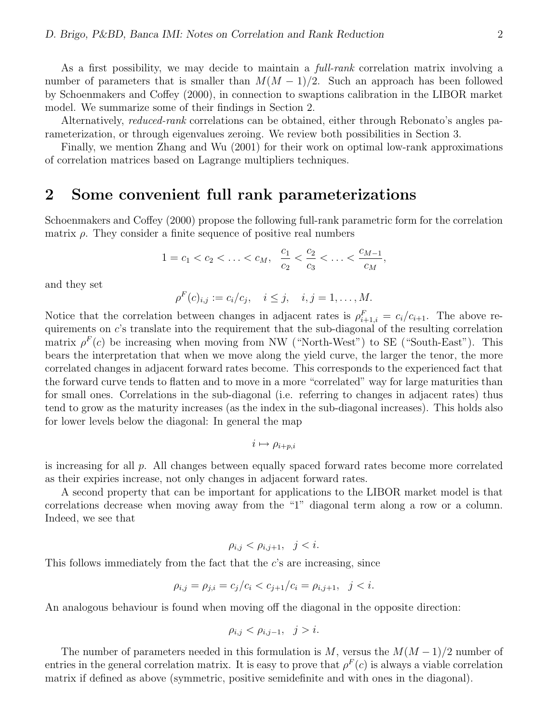As a first possibility, we may decide to maintain a *full-rank* correlation matrix involving a number of parameters that is smaller than  $M(M-1)/2$ . Such an approach has been followed by Schoenmakers and Coffey (2000), in connection to swaptions calibration in the LIBOR market model. We summarize some of their findings in Section 2.

Alternatively, *reduced-rank* correlations can be obtained, either through Rebonato's angles parameterization, or through eigenvalues zeroing. We review both possibilities in Section 3.

Finally, we mention Zhang and Wu (2001) for their work on optimal low-rank approximations of correlation matrices based on Lagrange multipliers techniques.

### 2 Some convenient full rank parameterizations

Schoenmakers and Coffey (2000) propose the following full-rank parametric form for the correlation matrix  $\rho$ . They consider a finite sequence of positive real numbers

$$
1 = c_1 < c_2 < \ldots < c_M, \quad \frac{c_1}{c_2} < \frac{c_2}{c_3} < \ldots < \frac{c_{M-1}}{c_M},
$$

and they set

$$
\rho^F(c)_{i,j} := c_i/c_j, \quad i \le j, \quad i, j = 1, ..., M.
$$

Notice that the correlation between changes in adjacent rates is  $\rho_{i+1,i}^F = c_i/c_{i+1}$ . The above requirements on c's translate into the requirement that the sub-diagonal of the resulting correlation matrix  $\rho^F(c)$  be increasing when moving from NW ("North-West") to SE ("South-East"). This bears the interpretation that when we move along the yield curve, the larger the tenor, the more correlated changes in adjacent forward rates become. This corresponds to the experienced fact that the forward curve tends to flatten and to move in a more "correlated" way for large maturities than for small ones. Correlations in the sub-diagonal (i.e. referring to changes in adjacent rates) thus tend to grow as the maturity increases (as the index in the sub-diagonal increases). This holds also for lower levels below the diagonal: In general the map

$$
i\mapsto \rho_{i+p,i}
$$

is increasing for all p. All changes between equally spaced forward rates become more correlated as their expiries increase, not only changes in adjacent forward rates.

A second property that can be important for applications to the LIBOR market model is that correlations decrease when moving away from the "1" diagonal term along a row or a column. Indeed, we see that

$$
\rho_{i,j} < \rho_{i,j+1}, \quad j < i.
$$

This follows immediately from the fact that the c's are increasing, since

$$
\rho_{i,j} = \rho_{j,i} = c_j/c_i < c_{j+1}/c_i = \rho_{i,j+1}, \quad j < i.
$$

An analogous behaviour is found when moving off the diagonal in the opposite direction:

$$
\rho_{i,j} < \rho_{i,j-1}, \quad j > i.
$$

The number of parameters needed in this formulation is M, versus the  $M(M-1)/2$  number of entries in the general correlation matrix. It is easy to prove that  $\rho^{F}(c)$  is always a viable correlation matrix if defined as above (symmetric, positive semidefinite and with ones in the diagonal).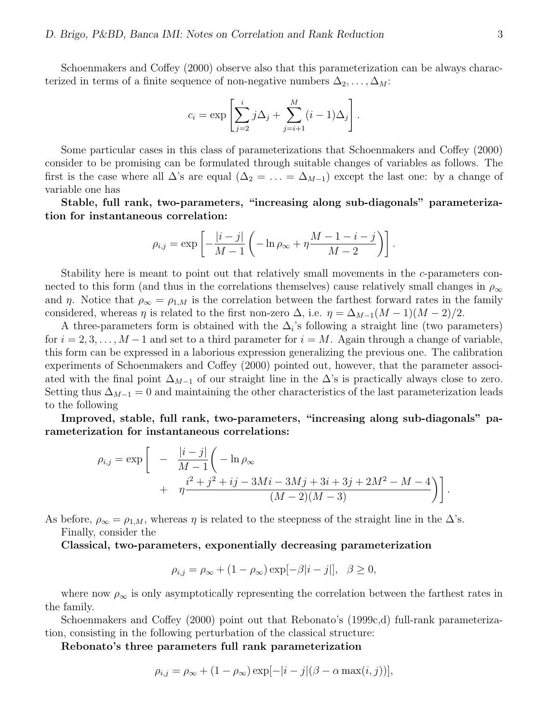Schoenmakers and Coffey (2000) observe also that this parameterization can be always characterized in terms of a finite sequence of non-negative numbers  $\Delta_2, \ldots, \Delta_M$ :

$$
c_i = \exp\left[\sum_{j=2}^i j\Delta_j + \sum_{j=i+1}^M (i-1)\Delta_j\right].
$$

Some particular cases in this class of parameterizations that Schoenmakers and Coffey (2000) consider to be promising can be formulated through suitable changes of variables as follows. The first is the case where all  $\Delta$ 's are equal  $(\Delta_2 = \ldots = \Delta_{M-1})$  except the last one: by a change of variable one has

Stable, full rank, two-parameters, "increasing along sub-diagonals" parameterization for instantaneous correlation:

$$
\rho_{i,j} = \exp\left[-\frac{|i-j|}{M-1}\left(-\ln \rho_{\infty} + \eta \frac{M-1-i-j}{M-2}\right)\right].
$$

Stability here is meant to point out that relatively small movements in the c-parameters connected to this form (and thus in the correlations themselves) cause relatively small changes in  $\rho_{\infty}$ and  $\eta$ . Notice that  $\rho_{\infty} = \rho_{1,M}$  is the correlation between the farthest forward rates in the family considered, whereas  $\eta$  is related to the first non-zero  $\Delta$ , i.e.  $\eta = \Delta_{M-1}(M-1)(M-2)/2$ .

A three-parameters form is obtained with the  $\Delta_i$ 's following a straight line (two parameters) for  $i = 2, 3, \ldots, M-1$  and set to a third parameter for  $i = M$ . Again through a change of variable, this form can be expressed in a laborious expression generalizing the previous one. The calibration experiments of Schoenmakers and Coffey (2000) pointed out, however, that the parameter associated with the final point  $\Delta_{M-1}$  of our straight line in the  $\Delta$ 's is practically always close to zero. Setting thus  $\Delta_{M-1} = 0$  and maintaining the other characteristics of the last parameterization leads to the following

Improved, stable, full rank, two-parameters, "increasing along sub-diagonals" parameterization for instantaneous correlations:

$$
\rho_{i,j} = \exp \left[ -\frac{|i-j|}{M-1} \left( -\ln \rho_{\infty} + \eta \frac{i^2 + j^2 + ij - 3Mi - 3Mj + 3i + 3j + 2M^2 - M - 4}{(M-2)(M-3)} \right) \right].
$$

As before,  $\rho_{\infty} = \rho_{1,M}$ , whereas  $\eta$  is related to the steepness of the straight line in the  $\Delta$ 's. Finally, consider the

Classical, two-parameters, exponentially decreasing parameterization

$$
\rho_{i,j} = \rho_{\infty} + (1 - \rho_{\infty}) \exp[-\beta |i - j|], \quad \beta \ge 0,
$$

where now  $\rho_{\infty}$  is only asymptotically representing the correlation between the farthest rates in the family.

Schoenmakers and Coffey (2000) point out that Rebonato's (1999c,d) full-rank parameterization, consisting in the following perturbation of the classical structure:

Rebonato's three parameters full rank parameterization

$$
\rho_{i,j} = \rho_{\infty} + (1 - \rho_{\infty}) \exp[-|i - j|(\beta - \alpha \max(i, j))],
$$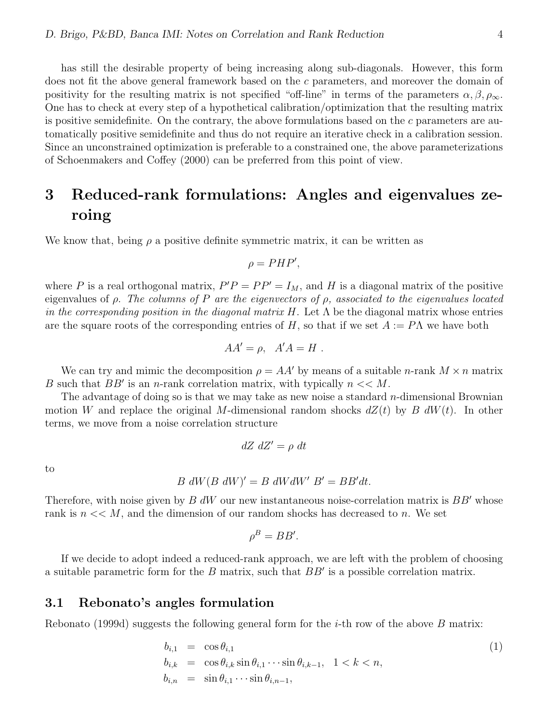has still the desirable property of being increasing along sub-diagonals. However, this form does not fit the above general framework based on the c parameters, and moreover the domain of positivity for the resulting matrix is not specified "off-line" in terms of the parameters  $\alpha, \beta, \rho_{\infty}$ . One has to check at every step of a hypothetical calibration/optimization that the resulting matrix is positive semidefinite. On the contrary, the above formulations based on the  $c$  parameters are automatically positive semidefinite and thus do not require an iterative check in a calibration session. Since an unconstrained optimization is preferable to a constrained one, the above parameterizations of Schoenmakers and Coffey (2000) can be preferred from this point of view.

# 3 Reduced-rank formulations: Angles and eigenvalues zeroing

We know that, being  $\rho$  a positive definite symmetric matrix, it can be written as

$$
\rho = PHP',
$$

where P is a real orthogonal matrix,  $P'P = PP' = I_M$ , and H is a diagonal matrix of the positive eigenvalues of  $\rho$ . The columns of P are the eigenvectors of  $\rho$ , associated to the eigenvalues located in the corresponding position in the diagonal matrix H. Let  $\Lambda$  be the diagonal matrix whose entries are the square roots of the corresponding entries of H, so that if we set  $A := P\Lambda$  we have both

$$
AA' = \rho, \quad A'A = H \; .
$$

We can try and mimic the decomposition  $\rho = AA'$  by means of a suitable *n*-rank  $M \times n$  matrix B such that  $BB'$  is an n-rank correlation matrix, with typically  $n \ll M$ .

The advantage of doing so is that we may take as new noise a standard  $n$ -dimensional Brownian motion W and replace the original M-dimensional random shocks  $dZ(t)$  by B  $dW(t)$ . In other terms, we move from a noise correlation structure

$$
dZ \ dZ' = \rho \ dt
$$

to

$$
B\ dW(B\ dW)' = B\ dW dW'\ B' = BB'dt.
$$

Therefore, with noise given by  $B dW$  our new instantaneous noise-correlation matrix is  $BB'$  whose rank is  $n \ll M$ , and the dimension of our random shocks has decreased to n. We set

$$
\rho^B = BB'.
$$

If we decide to adopt indeed a reduced-rank approach, we are left with the problem of choosing a suitable parametric form for the  $B$  matrix, such that  $BB'$  is a possible correlation matrix.

#### 3.1 Rebonato's angles formulation

Rebonato (1999d) suggests the following general form for the *i*-th row of the above B matrix:

$$
b_{i,1} = \cos \theta_{i,1}
$$
  
\n
$$
b_{i,k} = \cos \theta_{i,k} \sin \theta_{i,1} \cdots \sin \theta_{i,k-1}, \quad 1 < k < n,
$$
  
\n
$$
b_{i,n} = \sin \theta_{i,1} \cdots \sin \theta_{i,n-1},
$$
\n(1)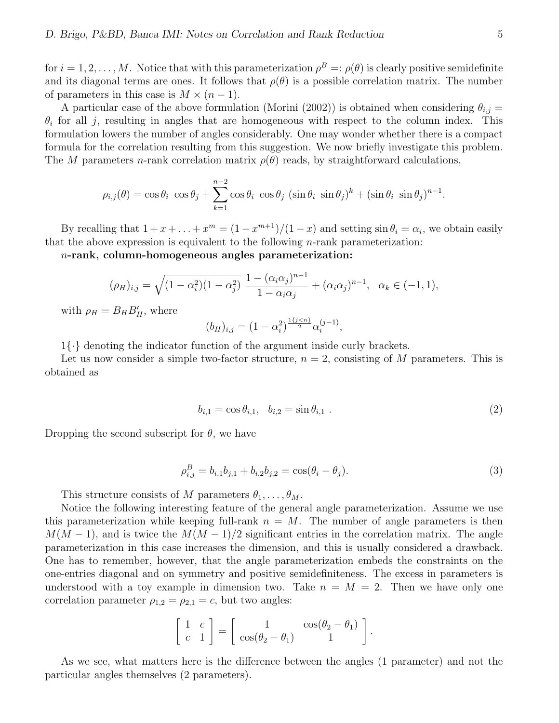for  $i = 1, 2, \ldots, M$ . Notice that with this parameterization  $\rho^B =: \rho(\theta)$  is clearly positive semidefinite and its diagonal terms are ones. It follows that  $\rho(\theta)$  is a possible correlation matrix. The number of parameters in this case is  $M \times (n-1)$ .

A particular case of the above formulation (Morini (2002)) is obtained when considering  $\theta_{i,j} =$  $\theta_i$  for all j, resulting in angles that are homogeneous with respect to the column index. This formulation lowers the number of angles considerably. One may wonder whether there is a compact formula for the correlation resulting from this suggestion. We now briefly investigate this problem. The M parameters n-rank correlation matrix  $\rho(\theta)$  reads, by straightforward calculations,

$$
\rho_{i,j}(\theta) = \cos \theta_i \cos \theta_j + \sum_{k=1}^{n-2} \cos \theta_i \cos \theta_j (\sin \theta_i \sin \theta_j)^k + (\sin \theta_i \sin \theta_j)^{n-1}.
$$

By recalling that  $1 + x + \ldots + x^m = (1 - x^{m+1})/(1 - x)$  and setting  $\sin \theta_i = \alpha_i$ , we obtain easily that the above expression is equivalent to the following  $n$ -rank parameterization:

 $n$ -rank, column-homogeneous angles parameterization:

$$
(\rho_H)_{i,j} = \sqrt{(1 - \alpha_i^2)(1 - \alpha_j^2)} \frac{1 - (\alpha_i \alpha_j)^{n-1}}{1 - \alpha_i \alpha_j} + (\alpha_i \alpha_j)^{n-1}, \ \alpha_k \in (-1, 1),
$$

with  $\rho_H = B_H B_H'$ , where

$$
(b_H)_{i,j} = (1 - \alpha_i^2)^{\frac{1\{j < n\}}{2}} \alpha_i^{(j-1)},
$$

 $1\{\cdot\}$  denoting the indicator function of the argument inside curly brackets.

Let us now consider a simple two-factor structure,  $n = 2$ , consisting of M parameters. This is obtained as

$$
b_{i,1} = \cos \theta_{i,1}, \quad b_{i,2} = \sin \theta_{i,1} \tag{2}
$$

Dropping the second subscript for  $\theta$ , we have

$$
\rho_{i,j}^B = b_{i,1}b_{j,1} + b_{i,2}b_{j,2} = \cos(\theta_i - \theta_j). \tag{3}
$$

This structure consists of M parameters  $\theta_1, \ldots, \theta_M$ .

Notice the following interesting feature of the general angle parameterization. Assume we use this parameterization while keeping full-rank  $n = M$ . The number of angle parameters is then  $M(M-1)$ , and is twice the  $M(M-1)/2$  significant entries in the correlation matrix. The angle parameterization in this case increases the dimension, and this is usually considered a drawback. One has to remember, however, that the angle parameterization embeds the constraints on the one-entries diagonal and on symmetry and positive semidefiniteness. The excess in parameters is understood with a toy example in dimension two. Take  $n = M = 2$ . Then we have only one correlation parameter  $\rho_{1,2} = \rho_{2,1} = c$ , but two angles:

$$
\left[\begin{array}{cc} 1 & c \\ c & 1 \end{array}\right] = \left[\begin{array}{cc} 1 & \cos(\theta_2 - \theta_1) \\ \cos(\theta_2 - \theta_1) & 1 \end{array}\right].
$$

As we see, what matters here is the difference between the angles (1 parameter) and not the particular angles themselves (2 parameters).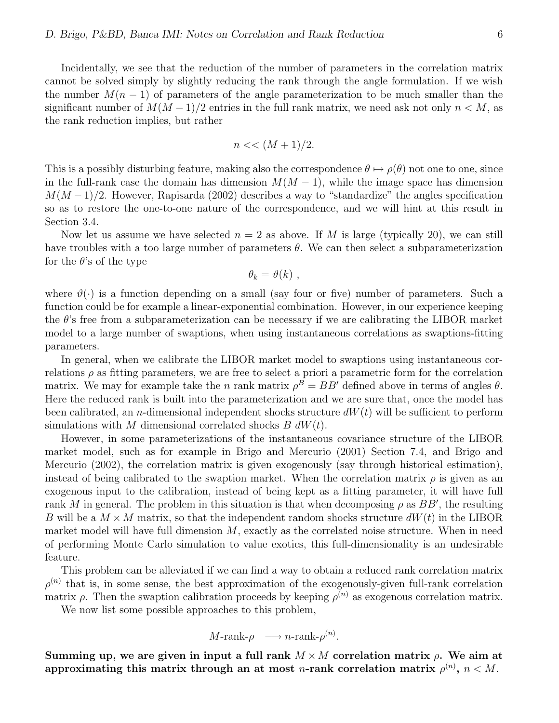Incidentally, we see that the reduction of the number of parameters in the correlation matrix cannot be solved simply by slightly reducing the rank through the angle formulation. If we wish the number  $M(n-1)$  of parameters of the angle parameterization to be much smaller than the significant number of  $M(M-1)/2$  entries in the full rank matrix, we need ask not only  $n < M$ , as the rank reduction implies, but rather

$$
n \ll (M+1)/2.
$$

This is a possibly disturbing feature, making also the correspondence  $\theta \mapsto \rho(\theta)$  not one to one, since in the full-rank case the domain has dimension  $M(M - 1)$ , while the image space has dimension  $M(M-1)/2$ . However, Rapisarda (2002) describes a way to "standardize" the angles specification so as to restore the one-to-one nature of the correspondence, and we will hint at this result in Section 3.4.

Now let us assume we have selected  $n = 2$  as above. If M is large (typically 20), we can still have troubles with a too large number of parameters  $\theta$ . We can then select a subparameterization for the  $\theta$ 's of the type

$$
\theta_k = \vartheta(k) ,
$$

where  $\vartheta(\cdot)$  is a function depending on a small (say four or five) number of parameters. Such a function could be for example a linear-exponential combination. However, in our experience keeping the  $\theta$ 's free from a subparameterization can be necessary if we are calibrating the LIBOR market model to a large number of swaptions, when using instantaneous correlations as swaptions-fitting parameters.

In general, when we calibrate the LIBOR market model to swaptions using instantaneous correlations  $\rho$  as fitting parameters, we are free to select a priori a parametric form for the correlation matrix. We may for example take the *n* rank matrix  $\rho^B = BB'$  defined above in terms of angles  $\theta$ . Here the reduced rank is built into the parameterization and we are sure that, once the model has been calibrated, an *n*-dimensional independent shocks structure  $dW(t)$  will be sufficient to perform simulations with M dimensional correlated shocks  $B dW(t)$ .

However, in some parameterizations of the instantaneous covariance structure of the LIBOR market model, such as for example in Brigo and Mercurio (2001) Section 7.4, and Brigo and Mercurio (2002), the correlation matrix is given exogenously (say through historical estimation), instead of being calibrated to the swaption market. When the correlation matrix  $\rho$  is given as an exogenous input to the calibration, instead of being kept as a fitting parameter, it will have full rank M in general. The problem in this situation is that when decomposing  $\rho$  as  $BB'$ , the resulting B will be a  $M \times M$  matrix, so that the independent random shocks structure  $dW(t)$  in the LIBOR market model will have full dimension  $M$ , exactly as the correlated noise structure. When in need of performing Monte Carlo simulation to value exotics, this full-dimensionality is an undesirable feature.

This problem can be alleviated if we can find a way to obtain a reduced rank correlation matrix  $\rho^{(n)}$  that is, in some sense, the best approximation of the exogenously-given full-rank correlation matrix  $\rho$ . Then the swaption calibration proceeds by keeping  $\rho^{(n)}$  as exogenous correlation matrix.

We now list some possible approaches to this problem,

 $M\text{-rank-}\rho \longrightarrow n\text{-rank-}\rho^{(n)}.$ 

Summing up, we are given in input a full rank  $M \times M$  correlation matrix  $\rho$ . We aim at approximating this matrix through an at most *n*-rank correlation matrix  $\rho^{(n)}$ ,  $n < M$ .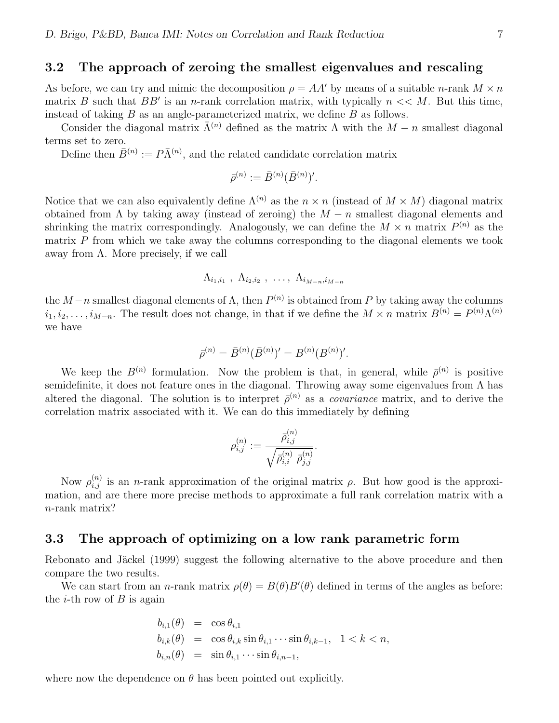### 3.2 The approach of zeroing the smallest eigenvalues and rescaling

As before, we can try and mimic the decomposition  $\rho = AA'$  by means of a suitable *n*-rank  $M \times n$ matrix B such that BB' is an n-rank correlation matrix, with typically  $n \ll M$ . But this time, instead of taking  $B$  as an angle-parameterized matrix, we define  $B$  as follows.

Consider the diagonal matrix  $\bar{\Lambda}^{(n)}$  defined as the matrix  $\Lambda$  with the  $M - n$  smallest diagonal terms set to zero.

Define then  $\bar{B}^{(n)} := P\bar{\Lambda}^{(n)}$ , and the related candidate correlation matrix

$$
\bar{\rho}^{(n)} := \bar{B}^{(n)}(\bar{B}^{(n)})'.
$$

Notice that we can also equivalently define  $\Lambda^{(n)}$  as the  $n \times n$  (instead of  $M \times M$ ) diagonal matrix obtained from  $\Lambda$  by taking away (instead of zeroing) the  $M - n$  smallest diagonal elements and shrinking the matrix correspondingly. Analogously, we can define the  $M \times n$  matrix  $P^{(n)}$  as the matrix  $P$  from which we take away the columns corresponding to the diagonal elements we took away from Λ. More precisely, if we call

$$
\Lambda_{i_1,i_1} \; , \; \Lambda_{i_2,i_2} \; , \; \ldots, \; \Lambda_{i_{M-n},i_{M-n}}
$$

the  $M-n$  smallest diagonal elements of  $\Lambda$ , then  $P^{(n)}$  is obtained from P by taking away the columns  $i_1, i_2, \ldots, i_{M-n}$ . The result does not change, in that if we define the  $M \times n$  matrix  $B^{(n)} = P^{(n)} \Lambda^{(n)}$ we have

$$
\bar{\rho}^{(n)} = \bar{B}^{(n)}(\bar{B}^{(n)})' = B^{(n)}(B^{(n)})'.
$$

We keep the  $B^{(n)}$  formulation. Now the problem is that, in general, while  $\bar{\rho}^{(n)}$  is positive semidefinite, it does not feature ones in the diagonal. Throwing away some eigenvalues from Λ has altered the diagonal. The solution is to interpret  $\bar{\rho}^{(n)}$  as a *covariance* matrix, and to derive the correlation matrix associated with it. We can do this immediately by defining

$$
\rho_{i,j}^{(n)}:=\frac{\bar{\rho}_{i,j}^{(n)}}{\sqrt{\bar{\rho}_{i,i}^{(n)}~\bar{\rho}_{j,j}^{(n)}}}.
$$

Now  $\rho_{i,j}^{(n)}$  is an *n*-rank approximation of the original matrix  $\rho$ . But how good is the approximation, and are there more precise methods to approximate a full rank correlation matrix with a n-rank matrix?

#### 3.3 The approach of optimizing on a low rank parametric form

Rebonato and Jäckel (1999) suggest the following alternative to the above procedure and then compare the two results.

We can start from an *n*-rank matrix  $\rho(\theta) = B(\theta)B'(\theta)$  defined in terms of the angles as before: the *i*-th row of  $B$  is again

$$
b_{i,1}(\theta) = \cos \theta_{i,1}
$$
  
\n
$$
b_{i,k}(\theta) = \cos \theta_{i,k} \sin \theta_{i,1} \cdots \sin \theta_{i,k-1}, \quad 1 < k < n,
$$
  
\n
$$
b_{i,n}(\theta) = \sin \theta_{i,1} \cdots \sin \theta_{i,n-1},
$$

where now the dependence on  $\theta$  has been pointed out explicitly.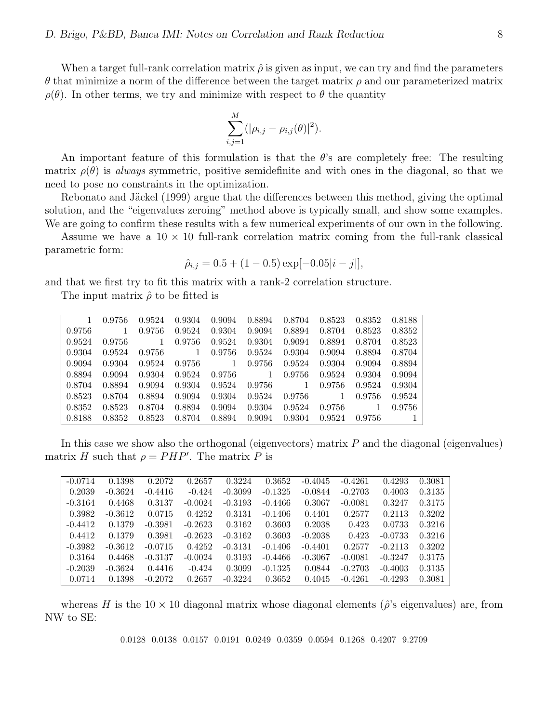When a target full-rank correlation matrix  $\hat{\rho}$  is given as input, we can try and find the parameters θ that minimize a norm of the difference between the target matrix ρ and our parameterized matrix  $\rho(\theta)$ . In other terms, we try and minimize with respect to  $\theta$  the quantity

$$
\sum_{i,j=1}^{M} (|\rho_{i,j} - \rho_{i,j}(\theta)|^2).
$$

An important feature of this formulation is that the  $\theta$ 's are completely free: The resulting matrix  $\rho(\theta)$  is always symmetric, positive semidefinite and with ones in the diagonal, so that we need to pose no constraints in the optimization.

Rebonato and Jäckel (1999) argue that the differences between this method, giving the optimal solution, and the "eigenvalues zeroing" method above is typically small, and show some examples. We are going to confirm these results with a few numerical experiments of our own in the following.

Assume we have a  $10 \times 10$  full-rank correlation matrix coming from the full-rank classical parametric form:

$$
\hat{\rho}_{i,j} = 0.5 + (1 - 0.5) \exp[-0.05|i - j|],
$$

and that we first try to fit this matrix with a rank-2 correlation structure.

The input matrix  $\hat{\rho}$  to be fitted is

|        | 0.9756 | 0.9524 | 0.9304 | 0.9094 | 0.8894 | 0.8704 | 0.8523 | 0.8352 | 0.8188 |
|--------|--------|--------|--------|--------|--------|--------|--------|--------|--------|
| 0.9756 |        | 0.9756 | 0.9524 | 0.9304 | 0.9094 | 0.8894 | 0.8704 | 0.8523 | 0.8352 |
| 0.9524 | 0.9756 |        | 0.9756 | 0.9524 | 0.9304 | 0.9094 | 0.8894 | 0.8704 | 0.8523 |
| 0.9304 | 0.9524 | 0.9756 | 1      | 0.9756 | 0.9524 | 0.9304 | 0.9094 | 0.8894 | 0.8704 |
| 0.9094 | 0.9304 | 0.9524 | 0.9756 |        | 0.9756 | 0.9524 | 0.9304 | 0.9094 | 0.8894 |
| 0.8894 | 0.9094 | 0.9304 | 0.9524 | 0.9756 | 1      | 0.9756 | 0.9524 | 0.9304 | 0.9094 |
| 0.8704 | 0.8894 | 0.9094 | 0.9304 | 0.9524 | 0.9756 |        | 0.9756 | 0.9524 | 0.9304 |
| 0.8523 | 0.8704 | 0.8894 | 0.9094 | 0.9304 | 0.9524 | 0.9756 |        | 0.9756 | 0.9524 |
| 0.8352 | 0.8523 | 0.8704 | 0.8894 | 0.9094 | 0.9304 | 0.9524 | 0.9756 |        | 0.9756 |
| 0.8188 | 0.8352 | 0.8523 | 0.8704 | 0.8894 | 0.9094 | 0.9304 | 0.9524 | 0.9756 |        |

In this case we show also the orthogonal (eigenvectors) matrix  $P$  and the diagonal (eigenvalues) matrix H such that  $\rho = PHP'$ . The matrix P is

| $-0.0714$ | 0.1398    | 0.2072    | 0.2657    | 0.3224    | 0.3652    | $-0.4045$ | $-0.4261$ | 0.4293    | 0.3081 |
|-----------|-----------|-----------|-----------|-----------|-----------|-----------|-----------|-----------|--------|
| 0.2039    | $-0.3624$ | $-0.4416$ | $-0.424$  | $-0.3099$ | $-0.1325$ | $-0.0844$ | $-0.2703$ | 0.4003    | 0.3135 |
| $-0.3164$ | 0.4468    | 0.3137    | $-0.0024$ | $-0.3193$ | $-0.4466$ | 0.3067    | $-0.0081$ | 0.3247    | 0.3175 |
| 0.3982    | $-0.3612$ | 0.0715    | 0.4252    | 0.3131    | $-0.1406$ | 0.4401    | 0.2577    | 0.2113    | 0.3202 |
| $-0.4412$ | 0.1379    | $-0.3981$ | $-0.2623$ | 0.3162    | 0.3603    | 0.2038    | 0.423     | 0.0733    | 0.3216 |
| 0.4412    | 0.1379    | 0.3981    | $-0.2623$ | $-0.3162$ | 0.3603    | $-0.2038$ | 0.423     | $-0.0733$ | 0.3216 |
| $-0.3982$ | $-0.3612$ | $-0.0715$ | 0.4252    | $-0.3131$ | $-0.1406$ | $-0.4401$ | 0.2577    | $-0.2113$ | 0.3202 |
| 0.3164    | 0.4468    | $-0.3137$ | $-0.0024$ | 0.3193    | $-0.4466$ | $-0.3067$ | $-0.0081$ | $-0.3247$ | 0.3175 |
| $-0.2039$ | $-0.3624$ | 0.4416    | $-0.424$  | 0.3099    | $-0.1325$ | 0.0844    | $-0.2703$ | $-0.4003$ | 0.3135 |
| 0.0714    | 0.1398    | $-0.2072$ | 0.2657    | $-0.3224$ | 0.3652    | 0.4045    | $-0.4261$ | $-0.4293$ | 0.3081 |

whereas H is the  $10 \times 10$  diagonal matrix whose diagonal elements ( $\hat{\rho}$ 's eigenvalues) are, from NW to SE:

0.0128 0.0138 0.0157 0.0191 0.0249 0.0359 0.0594 0.1268 0.4207 9.2709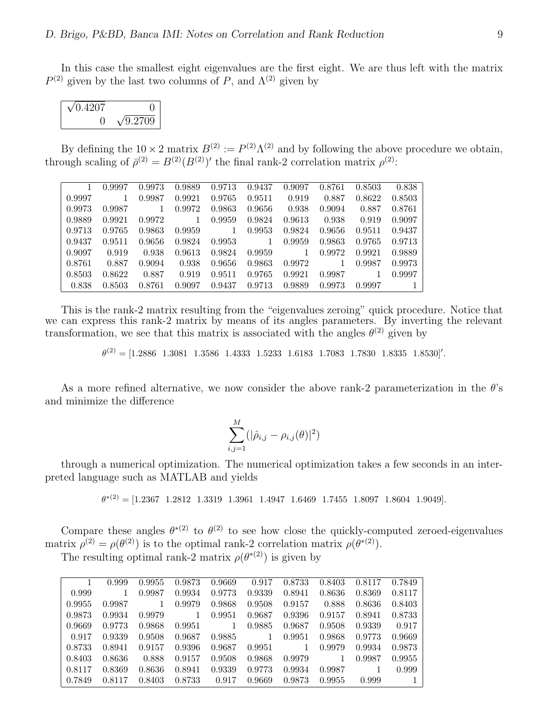In this case the smallest eight eigenvalues are the first eight. We are thus left with the matrix  $P^{(2)}$  given by the last two columns of P, and  $\Lambda^{(2)}$  given by

| $\sqrt{0.4207}$ |                 |
|-----------------|-----------------|
|                 | $\sqrt{9.2709}$ |

By defining the  $10 \times 2$  matrix  $B^{(2)} := P^{(2)} \Lambda^{(2)}$  and by following the above procedure we obtain, through scaling of  $\bar{\rho}^{(2)} = B^{(2)}(B^{(2)})'$  the final rank-2 correlation matrix  $\rho^{(2)}$ :

|        | 0.9997 | 0.9973 | 0.9889 | 0.9713 | 0.9437 | 0.9097 | 0.8761 | 0.8503 | 0.838  |
|--------|--------|--------|--------|--------|--------|--------|--------|--------|--------|
| 0.9997 | 1      | 0.9987 | 0.9921 | 0.9765 | 0.9511 | 0.919  | 0.887  | 0.8622 | 0.8503 |
| 0.9973 | 0.9987 | 1      | 0.9972 | 0.9863 | 0.9656 | 0.938  | 0.9094 | 0.887  | 0.8761 |
| 0.9889 | 0.9921 | 0.9972 | 1      | 0.9959 | 0.9824 | 0.9613 | 0.938  | 0.919  | 0.9097 |
| 0.9713 | 0.9765 | 0.9863 | 0.9959 |        | 0.9953 | 0.9824 | 0.9656 | 0.9511 | 0.9437 |
| 0.9437 | 0.9511 | 0.9656 | 0.9824 | 0.9953 |        | 0.9959 | 0.9863 | 0.9765 | 0.9713 |
| 0.9097 | 0.919  | 0.938  | 0.9613 | 0.9824 | 0.9959 |        | 0.9972 | 0.9921 | 0.9889 |
| 0.8761 | 0.887  | 0.9094 | 0.938  | 0.9656 | 0.9863 | 0.9972 | 1.     | 0.9987 | 0.9973 |
| 0.8503 | 0.8622 | 0.887  | 0.919  | 0.9511 | 0.9765 | 0.9921 | 0.9987 |        | 0.9997 |
| 0.838  | 0.8503 | 0.8761 | 0.9097 | 0.9437 | 0.9713 | 0.9889 | 0.9973 | 0.9997 |        |

This is the rank-2 matrix resulting from the "eigenvalues zeroing" quick procedure. Notice that we can express this rank-2 matrix by means of its angles parameters. By inverting the relevant transformation, we see that this matrix is associated with the angles  $\theta^{(2)}$  given by

 $\theta^{(2)} = [1.2886 \quad 1.3081 \quad 1.3586 \quad 1.4333 \quad 1.5233 \quad 1.6183 \quad 1.7083 \quad 1.7830 \quad 1.8335 \quad 1.8530]'$ .

As a more refined alternative, we now consider the above rank-2 parameterization in the  $\theta$ 's and minimize the difference

$$
\sum_{i,j=1}^{M} (|\hat{\rho}_{i,j} - \rho_{i,j}(\theta)|^2)
$$

through a numerical optimization. The numerical optimization takes a few seconds in an interpreted language such as MATLAB and yields

 $\theta^{*(2)} = [1.2367 \quad 1.2812 \quad 1.3319 \quad 1.3961 \quad 1.4947 \quad 1.6469 \quad 1.7455 \quad 1.8097 \quad 1.8604 \quad 1.9049].$ 

Compare these angles  $\theta^{*(2)}$  to  $\theta^{(2)}$  to see how close the quickly-computed zeroed-eigenvalues matrix  $\rho^{(2)} = \rho(\theta^{(2)})$  is to the optimal rank-2 correlation matrix  $\rho(\theta^{*(2)})$ .

The resulting optimal rank-2 matrix  $\rho(\theta^{*(2)})$  is given by

|        | 0.999  | 0.9955 | 0.9873 | 0.9669 | 0.917  | 0.8733 | 0.8403 | 0.8117 | 0.7849 |
|--------|--------|--------|--------|--------|--------|--------|--------|--------|--------|
| 0.999  |        | 0.9987 | 0.9934 | 0.9773 | 0.9339 | 0.8941 | 0.8636 | 0.8369 | 0.8117 |
| 0.9955 | 0.9987 |        | 0.9979 | 0.9868 | 0.9508 | 0.9157 | 0.888  | 0.8636 | 0.8403 |
| 0.9873 | 0.9934 | 0.9979 |        | 0.9951 | 0.9687 | 0.9396 | 0.9157 | 0.8941 | 0.8733 |
| 0.9669 | 0.9773 | 0.9868 | 0.9951 |        | 0.9885 | 0.9687 | 0.9508 | 0.9339 | 0.917  |
| 0.917  | 0.9339 | 0.9508 | 0.9687 | 0.9885 |        | 0.9951 | 0.9868 | 0.9773 | 0.9669 |
| 0.8733 | 0.8941 | 0.9157 | 0.9396 | 0.9687 | 0.9951 |        | 0.9979 | 0.9934 | 0.9873 |
| 0.8403 | 0.8636 | 0.888  | 0.9157 | 0.9508 | 0.9868 | 0.9979 | 1      | 0.9987 | 0.9955 |
| 0.8117 | 0.8369 | 0.8636 | 0.8941 | 0.9339 | 0.9773 | 0.9934 | 0.9987 |        | 0.999  |
| 0.7849 | 0.8117 | 0.8403 | 0.8733 | 0.917  | 0.9669 | 0.9873 | 0.9955 | 0.999  |        |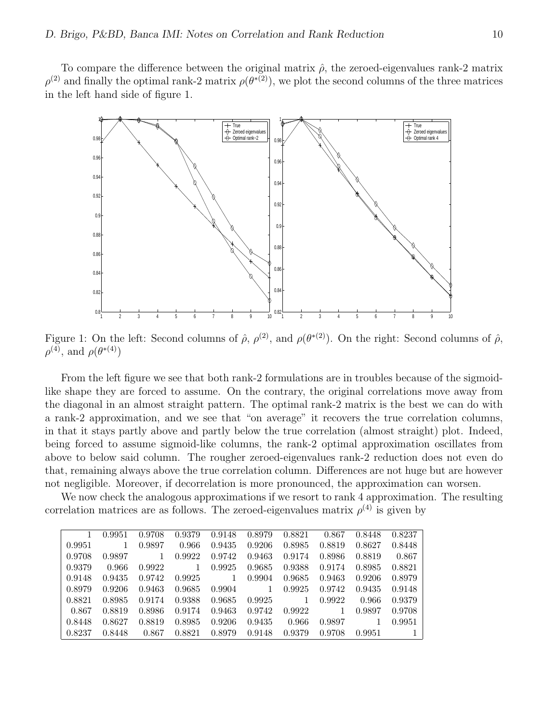To compare the difference between the original matrix  $\hat{\rho}$ , the zeroed-eigenvalues rank-2 matrix  $\rho^{(2)}$  and finally the optimal rank-2 matrix  $\rho(\theta^{*(2)})$ , we plot the second columns of the three matrices in the left hand side of figure 1.



Figure 1: On the left: Second columns of  $\hat{\rho}, \rho^{(2)}$ , and  $\rho(\theta^{*(2)})$ . On the right: Second columns of  $\hat{\rho}$ ,  $\rho^{(4)}$ , and  $\rho(\theta^{*(4)})$ 

From the left figure we see that both rank-2 formulations are in troubles because of the sigmoidlike shape they are forced to assume. On the contrary, the original correlations move away from the diagonal in an almost straight pattern. The optimal rank-2 matrix is the best we can do with a rank-2 approximation, and we see that "on average" it recovers the true correlation columns, in that it stays partly above and partly below the true correlation (almost straight) plot. Indeed, being forced to assume sigmoid-like columns, the rank-2 optimal approximation oscillates from above to below said column. The rougher zeroed-eigenvalues rank-2 reduction does not even do that, remaining always above the true correlation column. Differences are not huge but are however not negligible. Moreover, if decorrelation is more pronounced, the approximation can worsen.

We now check the analogous approximations if we resort to rank 4 approximation. The resulting correlation matrices are as follows. The zeroed-eigenvalues matrix  $\rho^{(4)}$  is given by

|        | 0.9951 | 0.9708 | 0.9379 | 0.9148 | 0.8979 | 0.8821 | 0.867  | 0.8448 | 0.8237 |
|--------|--------|--------|--------|--------|--------|--------|--------|--------|--------|
| 0.9951 |        | 0.9897 | 0.966  | 0.9435 | 0.9206 | 0.8985 | 0.8819 | 0.8627 | 0.8448 |
| 0.9708 | 0.9897 |        | 0.9922 | 0.9742 | 0.9463 | 0.9174 | 0.8986 | 0.8819 | 0.867  |
| 0.9379 | 0.966  | 0.9922 | 1      | 0.9925 | 0.9685 | 0.9388 | 0.9174 | 0.8985 | 0.8821 |
| 0.9148 | 0.9435 | 0.9742 | 0.9925 |        | 0.9904 | 0.9685 | 0.9463 | 0.9206 | 0.8979 |
| 0.8979 | 0.9206 | 0.9463 | 0.9685 | 0.9904 |        | 0.9925 | 0.9742 | 0.9435 | 0.9148 |
| 0.8821 | 0.8985 | 0.9174 | 0.9388 | 0.9685 | 0.9925 | 1.     | 0.9922 | 0.966  | 0.9379 |
| 0.867  | 0.8819 | 0.8986 | 0.9174 | 0.9463 | 0.9742 | 0.9922 |        | 0.9897 | 0.9708 |
| 0.8448 | 0.8627 | 0.8819 | 0.8985 | 0.9206 | 0.9435 | 0.966  | 0.9897 |        | 0.9951 |
| 0.8237 | 0.8448 | 0.867  | 0.8821 | 0.8979 | 0.9148 | 0.9379 | 0.9708 | 0.9951 |        |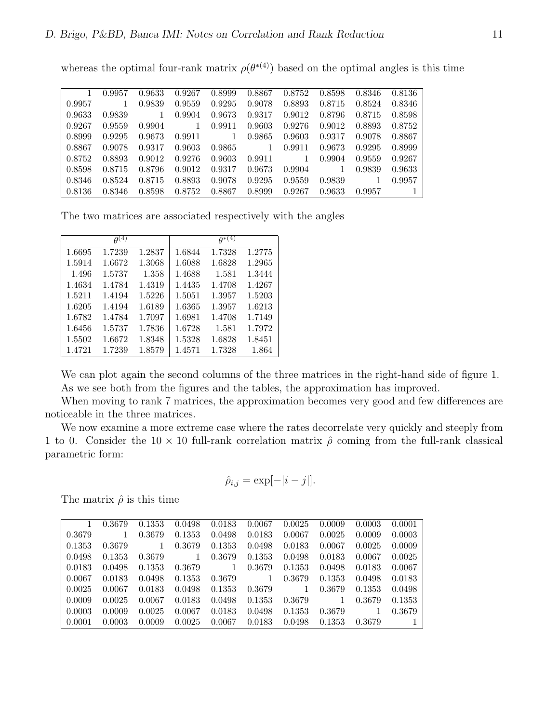whereas the optimal four-rank matrix  $\rho(\theta^{*(4)})$  based on the optimal angles is this time

|        | 0.9957 | 0.9633 | 0.9267 | 0.8999 | 0.8867 | 0.8752 | 0.8598 | 0.8346 | 0.8136 |
|--------|--------|--------|--------|--------|--------|--------|--------|--------|--------|
| 0.9957 | 1      | 0.9839 | 0.9559 | 0.9295 | 0.9078 | 0.8893 | 0.8715 | 0.8524 | 0.8346 |
| 0.9633 | 0.9839 |        | 0.9904 | 0.9673 | 0.9317 | 0.9012 | 0.8796 | 0.8715 | 0.8598 |
| 0.9267 | 0.9559 | 0.9904 | 1      | 0.9911 | 0.9603 | 0.9276 | 0.9012 | 0.8893 | 0.8752 |
| 0.8999 | 0.9295 | 0.9673 | 0.9911 |        | 0.9865 | 0.9603 | 0.9317 | 0.9078 | 0.8867 |
| 0.8867 | 0.9078 | 0.9317 | 0.9603 | 0.9865 |        | 0.9911 | 0.9673 | 0.9295 | 0.8999 |
| 0.8752 | 0.8893 | 0.9012 | 0.9276 | 0.9603 | 0.9911 |        | 0.9904 | 0.9559 | 0.9267 |
| 0.8598 | 0.8715 | 0.8796 | 0.9012 | 0.9317 | 0.9673 | 0.9904 |        | 0.9839 | 0.9633 |
| 0.8346 | 0.8524 | 0.8715 | 0.8893 | 0.9078 | 0.9295 | 0.9559 | 0.9839 |        | 0.9957 |
| 0.8136 | 0.8346 | 0.8598 | 0.8752 | 0.8867 | 0.8999 | 0.9267 | 0.9633 | 0.9957 |        |

The two matrices are associated respectively with the angles

|        | $\overline{\theta^{(4)}}$ |        |        | $\theta^{*(4)}$ |        |
|--------|---------------------------|--------|--------|-----------------|--------|
| 1.6695 | 1.7239                    | 1.2837 | 1.6844 | 1.7328          | 1.2775 |
| 1.5914 | 1.6672                    | 1.3068 | 1.6088 | 1.6828          | 1.2965 |
| 1.496  | 1.5737                    | 1.358  | 1.4688 | 1.581           | 1.3444 |
| 1.4634 | 1.4784                    | 1.4319 | 1.4435 | 1.4708          | 1.4267 |
| 1.5211 | 1.4194                    | 1.5226 | 1.5051 | 1.3957          | 1.5203 |
| 1.6205 | 1.4194                    | 1.6189 | 1.6365 | 1.3957          | 1.6213 |
| 1.6782 | 1.4784                    | 1.7097 | 1.6981 | 1.4708          | 1.7149 |
| 1.6456 | 1.5737                    | 1.7836 | 1.6728 | 1.581           | 1.7972 |
| 1.5502 | 1.6672                    | 1.8348 | 1.5328 | 1.6828          | 1.8451 |
| 1.4721 | 1.7239                    | 1.8579 | 1.4571 | 1.7328          | 1.864  |

We can plot again the second columns of the three matrices in the right-hand side of figure 1. As we see both from the figures and the tables, the approximation has improved.

When moving to rank 7 matrices, the approximation becomes very good and few differences are noticeable in the three matrices.

We now examine a more extreme case where the rates decorrelate very quickly and steeply from 1 to 0. Consider the  $10 \times 10$  full-rank correlation matrix  $\hat{\rho}$  coming from the full-rank classical parametric form:

$$
\hat{\rho}_{i,j} = \exp[-|i-j|].
$$

The matrix  $\hat{\rho}$  is this time

|        | 0.3679 | 0.1353 | 0.0498 | 0.0183 | 0.0067 | 0.0025 | 0.0009 | 0.0003 | 0.0001         |
|--------|--------|--------|--------|--------|--------|--------|--------|--------|----------------|
| 0.3679 |        | 0.3679 | 0.1353 | 0.0498 | 0.0183 | 0.0067 | 0.0025 | 0.0009 | 0.0003         |
| 0.1353 | 0.3679 | 1.     | 0.3679 | 0.1353 | 0.0498 | 0.0183 | 0.0067 | 0.0025 | 0.0009         |
| 0.0498 | 0.1353 | 0.3679 | 1      | 0.3679 | 0.1353 | 0.0498 | 0.0183 | 0.0067 | 0.0025         |
| 0.0183 | 0.0498 | 0.1353 | 0.3679 |        | 0.3679 | 0.1353 | 0.0498 | 0.0183 | 0.0067         |
| 0.0067 | 0.0183 | 0.0498 | 0.1353 | 0.3679 |        | 0.3679 | 0.1353 | 0.0498 | 0.0183         |
| 0.0025 | 0.0067 | 0.0183 | 0.0498 | 0.1353 | 0.3679 | 1      | 0.3679 | 0.1353 | 0.0498         |
| 0.0009 | 0.0025 | 0.0067 | 0.0183 | 0.0498 | 0.1353 | 0.3679 |        | 0.3679 | 0.1353         |
| 0.0003 | 0.0009 | 0.0025 | 0.0067 | 0.0183 | 0.0498 | 0.1353 | 0.3679 |        | 0.3679         |
| 0.0001 | 0.0003 | 0.0009 | 0.0025 | 0.0067 | 0.0183 | 0.0498 | 0.1353 | 0.3679 | $\overline{1}$ |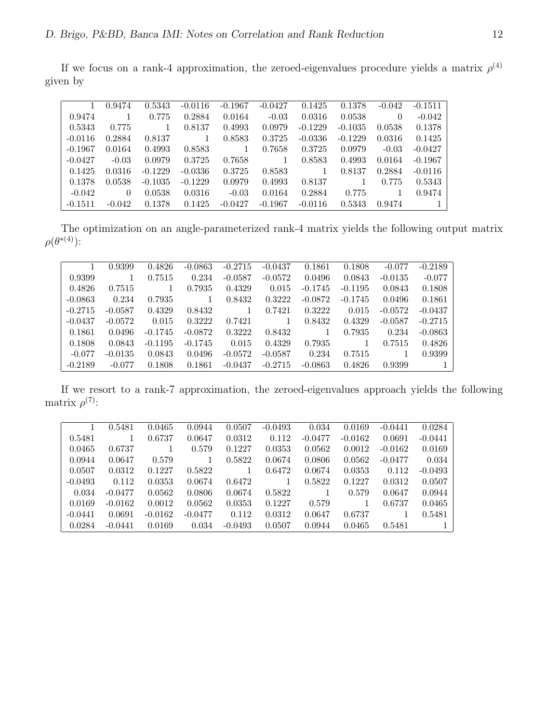If we focus on a rank-4 approximation, the zeroed-eigenvalues procedure yields a matrix  $\rho^{(4)}$ given by

|           | 0.9474   | 0.5343    | $-0.0116$ | $-0.1967$ | $-0.0427$ | 0.1425    | 0.1378    | $-0.042$ | $-0.1511$ |
|-----------|----------|-----------|-----------|-----------|-----------|-----------|-----------|----------|-----------|
| 0.9474    |          | 0.775     | 0.2884    | 0.0164    | $-0.03$   | 0.0316    | 0.0538    | $\theta$ | $-0.042$  |
| 0.5343    | 0.775    |           | 0.8137    | 0.4993    | 0.0979    | $-0.1229$ | $-0.1035$ | 0.0538   | 0.1378    |
| $-0.0116$ | 0.2884   | 0.8137    |           | 0.8583    | 0.3725    | $-0.0336$ | $-0.1229$ | 0.0316   | 0.1425    |
| $-0.1967$ | 0.0164   | 0.4993    | 0.8583    |           | 0.7658    | 0.3725    | 0.0979    | $-0.03$  | $-0.0427$ |
| $-0.0427$ | $-0.03$  | 0.0979    | 0.3725    | 0.7658    |           | 0.8583    | 0.4993    | 0.0164   | $-0.1967$ |
| 0.1425    | 0.0316   | $-0.1229$ | $-0.0336$ | 0.3725    | 0.8583    |           | 0.8137    | 0.2884   | $-0.0116$ |
| 0.1378    | 0.0538   | $-0.1035$ | $-0.1229$ | 0.0979    | 0.4993    | 0.8137    |           | 0.775    | 0.5343    |
| $-0.042$  | $\Omega$ | 0.0538    | 0.0316    | $-0.03$   | 0.0164    | 0.2884    | 0.775     |          | 0.9474    |
| $-0.1511$ | $-0.042$ | 0.1378    | 0.1425    | $-0.0427$ | $-0.1967$ | $-0.0116$ | 0.5343    | 0.9474   |           |

The optimization on an angle-parameterized rank-4 matrix yields the following output matrix  $\rho(\theta^{*(4)})$ :

|           | 0.9399    | 0.4826    | $-0.0863$ | $-0.2715$ | $-0.0437$ | 0.1861    | 0.1808    | $-0.077$  | $-0.2189$ |
|-----------|-----------|-----------|-----------|-----------|-----------|-----------|-----------|-----------|-----------|
| 0.9399    |           | 0.7515    | 0.234     | $-0.0587$ | $-0.0572$ | 0.0496    | 0.0843    | $-0.0135$ | $-0.077$  |
| 0.4826    | 0.7515    |           | 0.7935    | 0.4329    | 0.015     | $-0.1745$ | $-0.1195$ | 0.0843    | 0.1808    |
| $-0.0863$ | 0.234     | 0.7935    |           | 0.8432    | 0.3222    | $-0.0872$ | $-0.1745$ | 0.0496    | 0.1861    |
| $-0.2715$ | $-0.0587$ | 0.4329    | 0.8432    |           | 0.7421    | 0.3222    | 0.015     | $-0.0572$ | $-0.0437$ |
| $-0.0437$ | $-0.0572$ | 0.015     | 0.3222    | 0.7421    |           | 0.8432    | 0.4329    | $-0.0587$ | $-0.2715$ |
| 0.1861    | 0.0496    | $-0.1745$ | $-0.0872$ | 0.3222    | 0.8432    |           | 0.7935    | 0.234     | $-0.0863$ |
| 0.1808    | 0.0843    | $-0.1195$ | $-0.1745$ | 0.015     | 0.4329    | 0.7935    |           | 0.7515    | 0.4826    |
| $-0.077$  | $-0.0135$ | 0.0843    | 0.0496    | $-0.0572$ | $-0.0587$ | 0.234     | 0.7515    |           | 0.9399    |
| $-0.2189$ | $-0.077$  | 0.1808    | 0.1861    | $-0.0437$ | $-0.2715$ | $-0.0863$ | 0.4826    | 0.9399    |           |

If we resort to a rank-7 approximation, the zeroed-eigenvalues approach yields the following matrix  $\rho^{(7)}$ :

|           | 0.5481    | 0.0465    | 0.0944    | 0.0507    | $-0.0493$ | 0.034     | 0.0169    | $-0.0441$ | 0.0284    |
|-----------|-----------|-----------|-----------|-----------|-----------|-----------|-----------|-----------|-----------|
| 0.5481    |           | 0.6737    | 0.0647    | 0.0312    | 0.112     | $-0.0477$ | $-0.0162$ | 0.0691    | $-0.0441$ |
| 0.0465    | 0.6737    |           | 0.579     | 0.1227    | 0.0353    | 0.0562    | 0.0012    | $-0.0162$ | 0.0169    |
| 0.0944    | 0.0647    | 0.579     |           | 0.5822    | 0.0674    | 0.0806    | 0.0562    | $-0.0477$ | 0.034     |
| 0.0507    | 0.0312    | 0.1227    | 0.5822    |           | 0.6472    | 0.0674    | 0.0353    | 0.112     | $-0.0493$ |
| $-0.0493$ | 0.112     | 0.0353    | 0.0674    | 0.6472    |           | 0.5822    | 0.1227    | 0.0312    | 0.0507    |
| 0.034     | $-0.0477$ | 0.0562    | 0.0806    | 0.0674    | 0.5822    |           | 0.579     | 0.0647    | 0.0944    |
| 0.0169    | $-0.0162$ | 0.0012    | 0.0562    | 0.0353    | 0.1227    | 0.579     |           | 0.6737    | 0.0465    |
| $-0.0441$ | 0.0691    | $-0.0162$ | $-0.0477$ | 0.112     | 0.0312    | 0.0647    | 0.6737    |           | 0.5481    |
| 0.0284    | $-0.0441$ | 0.0169    | 0.034     | $-0.0493$ | 0.0507    | 0.0944    | 0.0465    | 0.5481    |           |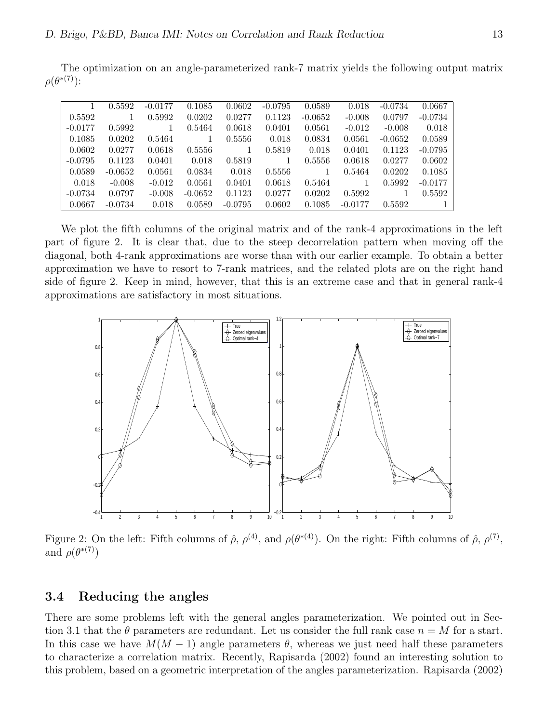The optimization on an angle-parameterized rank-7 matrix yields the following output matrix  $\rho(\theta^{*(7)})$ :

|           | 0.5592    | $-0.0177$ | 0.1085    | 0.0602    | $-0.0795$ | 0.0589    | 0.018     | $-0.0734$ | 0.0667    |
|-----------|-----------|-----------|-----------|-----------|-----------|-----------|-----------|-----------|-----------|
| 0.5592    |           | 0.5992    | 0.0202    | 0.0277    | 0.1123    | $-0.0652$ | $-0.008$  | 0.0797    | $-0.0734$ |
| $-0.0177$ | 0.5992    |           | 0.5464    | 0.0618    | 0.0401    | 0.0561    | $-0.012$  | $-0.008$  | 0.018     |
| 0.1085    | 0.0202    | 0.5464    |           | 0.5556    | 0.018     | 0.0834    | 0.0561    | $-0.0652$ | 0.0589    |
| 0.0602    | 0.0277    | 0.0618    | 0.5556    |           | 0.5819    | 0.018     | 0.0401    | 0.1123    | $-0.0795$ |
| $-0.0795$ | 0.1123    | 0.0401    | 0.018     | 0.5819    |           | 0.5556    | 0.0618    | 0.0277    | 0.0602    |
| 0.0589    | $-0.0652$ | 0.0561    | 0.0834    | 0.018     | 0.5556    |           | 0.5464    | 0.0202    | 0.1085    |
| 0.018     | $-0.008$  | $-0.012$  | 0.0561    | 0.0401    | 0.0618    | 0.5464    |           | 0.5992    | $-0.0177$ |
| $-0.0734$ | 0.0797    | $-0.008$  | $-0.0652$ | 0.1123    | 0.0277    | 0.0202    | 0.5992    |           | 0.5592    |
| 0.0667    | $-0.0734$ | 0.018     | 0.0589    | $-0.0795$ | 0.0602    | 0.1085    | $-0.0177$ | 0.5592    |           |

We plot the fifth columns of the original matrix and of the rank-4 approximations in the left part of figure 2. It is clear that, due to the steep decorrelation pattern when moving off the diagonal, both 4-rank approximations are worse than with our earlier example. To obtain a better approximation we have to resort to 7-rank matrices, and the related plots are on the right hand side of figure 2. Keep in mind, however, that this is an extreme case and that in general rank-4 approximations are satisfactory in most situations.



Figure 2: On the left: Fifth columns of  $\hat{\rho}, \rho^{(4)}$ , and  $\rho(\theta^{*(4)})$ . On the right: Fifth columns of  $\hat{\rho}, \rho^{(7)}$ , and  $\rho(\theta^{*(7)})$ 

#### 3.4 Reducing the angles

There are some problems left with the general angles parameterization. We pointed out in Section 3.1 that the  $\theta$  parameters are redundant. Let us consider the full rank case  $n = M$  for a start. In this case we have  $M(M-1)$  angle parameters  $\theta$ , whereas we just need half these parameters to characterize a correlation matrix. Recently, Rapisarda (2002) found an interesting solution to this problem, based on a geometric interpretation of the angles parameterization. Rapisarda (2002)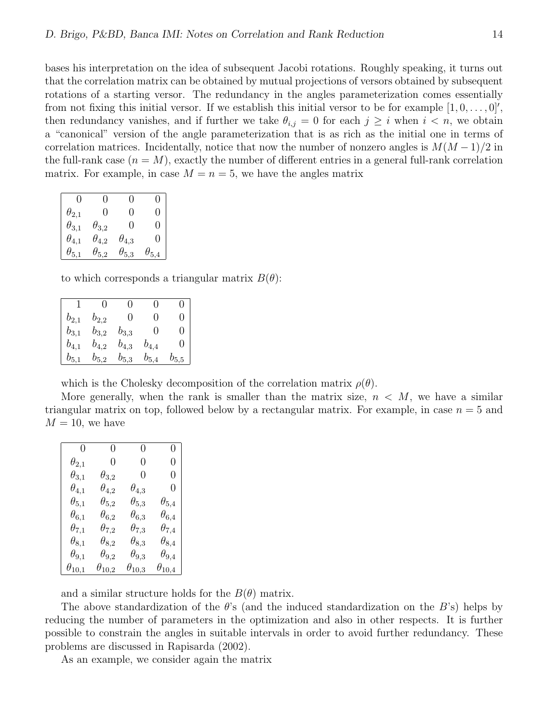bases his interpretation on the idea of subsequent Jacobi rotations. Roughly speaking, it turns out that the correlation matrix can be obtained by mutual projections of versors obtained by subsequent rotations of a starting versor. The redundancy in the angles parameterization comes essentially from not fixing this initial versor. If we establish this initial versor to be for example  $[1, 0, \ldots, 0]$ ', then redundancy vanishes, and if further we take  $\theta_{i,j} = 0$  for each  $j \geq i$  when  $i < n$ , we obtain a "canonical" version of the angle parameterization that is as rich as the initial one in terms of correlation matrices. Incidentally, notice that now the number of nonzero angles is  $M(M-1)/2$  in the full-rank case  $(n = M)$ , exactly the number of different entries in a general full-rank correlation matrix. For example, in case  $M = n = 5$ , we have the angles matrix

| 0                 | 0                | 0              | 0                 |
|-------------------|------------------|----------------|-------------------|
| $\theta_{2,1}$    | $\left( \right)$ | $\mathbf{0}$   | $\mathbf{\Omega}$ |
| $\theta_{3,1}$    | $\theta_{3,2}$   | 0              | $\mathbf{\Omega}$ |
| $\theta_{4,1}$    | $\theta_{4,2}$   | $\theta_{4,3}$ | $\mathbf{\Omega}$ |
| $\theta$ .<br>5,1 | A<br>5,2         | 5,3            | 5,4               |

to which corresponds a triangular matrix  $B(\theta)$ :

|           | $\left( \right)$ | $\mathbf{\Omega}$ | $\left( \right)$ | П                 |
|-----------|------------------|-------------------|------------------|-------------------|
| $b_{2,1}$ | $b_{2,2}$        | $\Box$            | $\mathbf{0}$     | 0                 |
| $b_{3,1}$ | $b_{3,2}$        | $b_{3,3}$         | $\left( \right)$ | 0                 |
| $b_{4,1}$ | $b_{4,2}$        | $b_{4,3}$         | $b_{4,4}$        | $\mathbf{\Omega}$ |
| $b_{5,1}$ | $b_{5,2}$        | $b_{5,3}$         | $b_{5,4}$        | $b_{5,5}$         |

which is the Cholesky decomposition of the correlation matrix  $\rho(\theta)$ .

More generally, when the rank is smaller than the matrix size,  $n < M$ , we have a similar triangular matrix on top, followed below by a rectangular matrix. For example, in case  $n = 5$  and  $M = 10$ , we have

| 0               | $\left( \right)$ | $\left( \right)$ | 0                |
|-----------------|------------------|------------------|------------------|
|                 |                  |                  |                  |
| $\theta_{2,1}$  | 0                | 0                | $\left( \right)$ |
| $\theta_{3,1}$  | $\theta_{3,2}$   | 0                | 0                |
| $\theta_{4,1}$  | $\theta_{4,2}$   | $\theta_{4,3}$   | 0                |
| $\theta_{5,1}$  | $\theta_{5,2}$   | $\theta_{5,3}$   | $\theta_{5,4}$   |
| $\theta_{6,1}$  | $\theta_{6,2}$   | $\theta_{6.3}$   | $\theta_{6,4}$   |
| $\theta_{7,1}$  | $\theta_{7,2}$   | $\theta_{7,3}$   | $\theta_{7,4}$   |
| $\theta_{8,1}$  | $\theta_{8,2}$   | $\theta_{8,3}$   | $\theta_{8,4}$   |
| $\theta_{9,1}$  | $\theta_{9,2}$   | $\theta_{9,3}$   | $\theta_{9,4}$   |
| $\theta_{10,1}$ | $\theta_{10,2}$  | $\theta_{10,3}$  | $\theta_{10,4}$  |

and a similar structure holds for the  $B(\theta)$  matrix.

The above standardization of the  $\theta$ 's (and the induced standardization on the B's) helps by reducing the number of parameters in the optimization and also in other respects. It is further possible to constrain the angles in suitable intervals in order to avoid further redundancy. These problems are discussed in Rapisarda (2002).

As an example, we consider again the matrix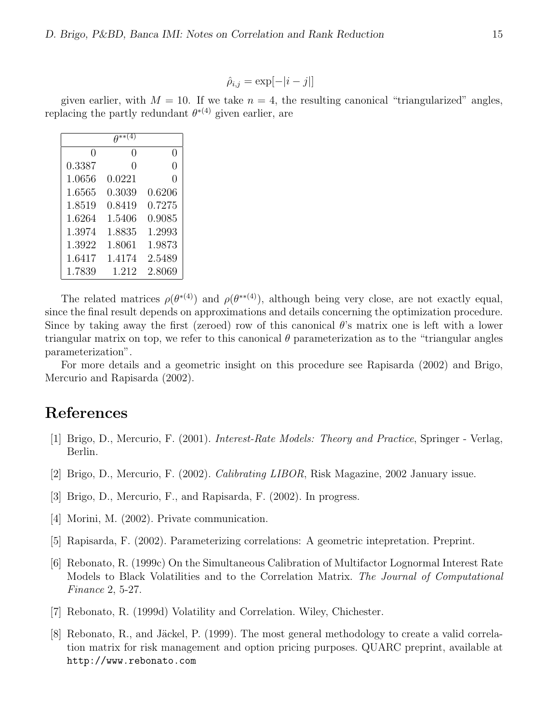$$
\hat{\rho}_{i,j} = \exp[-|i-j|]
$$

given earlier, with  $M = 10$ . If we take  $n = 4$ , the resulting canonical "triangularized" angles, replacing the partly redundant  $\theta^{*(4)}$  given earlier, are

|               | $A^{**}$ (   |                  |
|---------------|--------------|------------------|
| $\mathcal{O}$ | $\mathbf{0}$ | $\left( \right)$ |
| 0.3387        | 0            | 0                |
| 1.0656        | 0.0221       | O                |
| 1.6565        | 0.3039       | 0.6206           |
| 1.8519        | 0.8419       | 0.7275           |
| 1.6264        | 1.5406       | 0.9085           |
| 1.3974        | 1.8835       | 1.2993           |
| 1.3922        | 1.8061       | 1.9873           |
| 1.6417        | 1.4174       | 2.5489           |
| 1.7839        | 1.212        | 2.8069           |

The related matrices  $\rho(\theta^{*(4)})$  and  $\rho(\theta^{*(4)})$ , although being very close, are not exactly equal, since the final result depends on approximations and details concerning the optimization procedure. Since by taking away the first (zeroed) row of this canonical  $\theta$ 's matrix one is left with a lower triangular matrix on top, we refer to this canonical  $\theta$  parameterization as to the "triangular angles" parameterization".

For more details and a geometric insight on this procedure see Rapisarda (2002) and Brigo, Mercurio and Rapisarda (2002).

## References

- [1] Brigo, D., Mercurio, F. (2001). Interest-Rate Models: Theory and Practice, Springer Verlag, Berlin.
- [2] Brigo, D., Mercurio, F. (2002). Calibrating LIBOR, Risk Magazine, 2002 January issue.
- [3] Brigo, D., Mercurio, F., and Rapisarda, F. (2002). In progress.
- [4] Morini, M. (2002). Private communication.
- [5] Rapisarda, F. (2002). Parameterizing correlations: A geometric intepretation. Preprint.
- [6] Rebonato, R. (1999c) On the Simultaneous Calibration of Multifactor Lognormal Interest Rate Models to Black Volatilities and to the Correlation Matrix. The Journal of Computational Finance 2, 5-27.
- [7] Rebonato, R. (1999d) Volatility and Correlation. Wiley, Chichester.
- [8] Rebonato, R., and Jäckel, P. (1999). The most general methodology to create a valid correlation matrix for risk management and option pricing purposes. QUARC preprint, available at http://www.rebonato.com